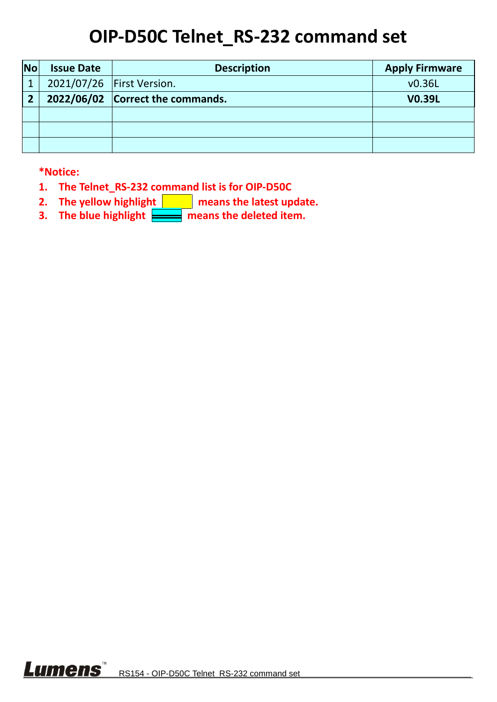## **OIP-D50C Telnet\_RS-232 command set**

| <b>No</b>              | <b>Issue Date</b> | <b>Description</b>               | <b>Apply Firmware</b> |
|------------------------|-------------------|----------------------------------|-----------------------|
| $\overline{1}$         |                   | 2021/07/26   First Version.      | v0.36L                |
| $\mathbf{\mathcal{D}}$ |                   | 2022/06/02 Correct the commands. | <b>V0.39L</b>         |
|                        |                   |                                  |                       |
|                        |                   |                                  |                       |
|                        |                   |                                  |                       |

**\*Notice:**

- **1. The Telnet\_RS-232 command list is for OIP-D50C**
- **2.** The yellow highlight **neans** the latest update.
- **3.** The blue highlight **nearly means the deleted item.**

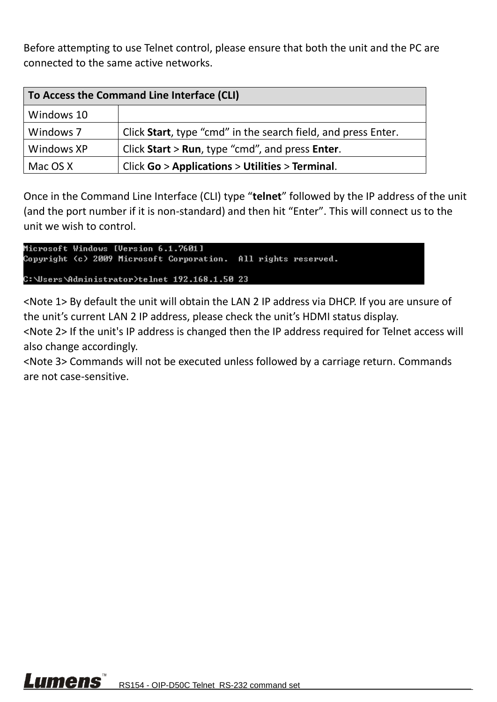Before attempting to use Telnet control, please ensure that both the unit and the PC are connected to the same active networks.

| To Access the Command Line Interface (CLI) |                                                               |  |
|--------------------------------------------|---------------------------------------------------------------|--|
| Windows 10                                 |                                                               |  |
| Windows 7                                  | Click Start, type "cmd" in the search field, and press Enter. |  |
| Windows XP                                 | Click Start $>$ Run, type "cmd", and press Enter.             |  |
| Mac OS X                                   | Click Go > Applications > Utilities > Terminal.               |  |

Once in the Command Line Interface (CLI) type "**telnet**" followed by the IP address of the unit (and the port number if it is non-standard) and then hit "Enter". This will connect us to the unit we wish to control.

```
Microsoft Windows [Version 6.1.7601]
Copyright (c) 2009 Microsoft Corporation. All rights reserved.
C:\Users\Administrator>telnet 192.168.1.50 23
```
<Note 1> By default the unit will obtain the LAN 2 IP address via DHCP. If you are unsure of the unit's current LAN 2 IP address, please check the unit's HDMI status display.

<Note 2> If the unit's IP address is changed then the IP address required for Telnet access will also change accordingly.

<Note 3> Commands will not be executed unless followed by a carriage return. Commands are not case-sensitive.

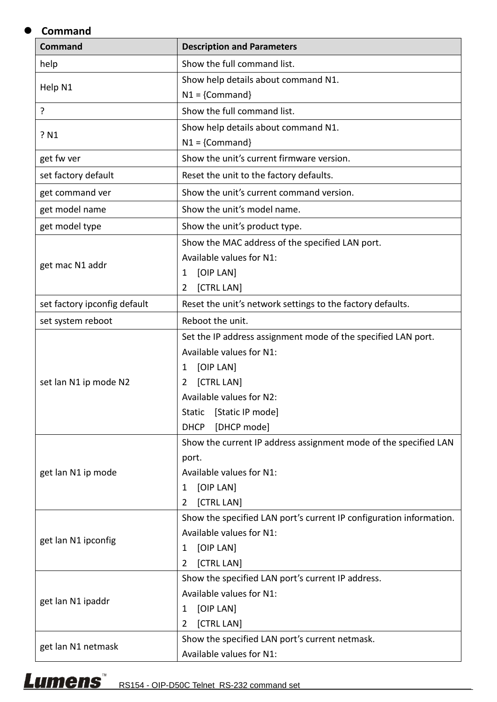## **Command**

| <b>Command</b>               | <b>Description and Parameters</b>                                   |
|------------------------------|---------------------------------------------------------------------|
| help                         | Show the full command list.                                         |
|                              | Show help details about command N1.                                 |
| Help N1                      | $N1 = \{Command\}$                                                  |
| ?                            | Show the full command list.                                         |
|                              | Show help details about command N1.                                 |
| ? N1                         | $N1 = \{Command\}$                                                  |
| get fw ver                   | Show the unit's current firmware version.                           |
| set factory default          | Reset the unit to the factory defaults.                             |
| get command ver              | Show the unit's current command version.                            |
| get model name               | Show the unit's model name.                                         |
| get model type               | Show the unit's product type.                                       |
|                              | Show the MAC address of the specified LAN port.                     |
|                              | Available values for N1:                                            |
| get mac N1 addr              | [OIP LAN]<br>1                                                      |
|                              | [CTRL LAN]<br>$\overline{2}$                                        |
| set factory ipconfig default | Reset the unit's network settings to the factory defaults.          |
| set system reboot            | Reboot the unit.                                                    |
|                              | Set the IP address assignment mode of the specified LAN port.       |
|                              | Available values for N1:                                            |
|                              | [OIP LAN]<br>1                                                      |
| set lan N1 ip mode N2        | [CTRL LAN]<br>2                                                     |
|                              | Available values for N2:                                            |
|                              | <b>Static</b><br>[Static IP mode]                                   |
|                              | <b>DHCP</b><br>[DHCP mode]                                          |
|                              | Show the current IP address assignment mode of the specified LAN    |
|                              | port.                                                               |
| get lan N1 ip mode           | Available values for N1:                                            |
|                              | [OIP LAN]<br>1                                                      |
|                              | [CTRL LAN]<br>2                                                     |
|                              | Show the specified LAN port's current IP configuration information. |
|                              | Available values for N1:                                            |
| get lan N1 ipconfig          | [OIP LAN]<br>1                                                      |
|                              | [CTRL LAN]<br>2                                                     |
|                              | Show the specified LAN port's current IP address.                   |
| get lan N1 ipaddr            | Available values for N1:                                            |
|                              | [OIP LAN]<br>1                                                      |
|                              | [CTRL LAN]<br>$\overline{2}$                                        |
| get lan N1 netmask           | Show the specified LAN port's current netmask.                      |
|                              | Available values for N1:                                            |

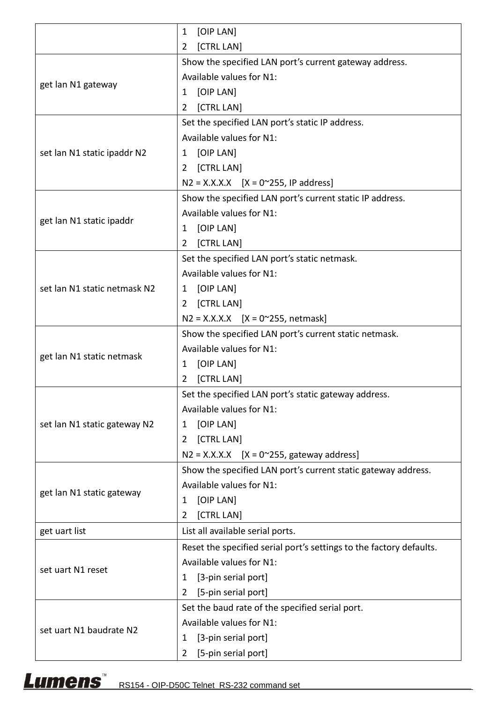|                              | [OIP LAN]<br>1                                                      |
|------------------------------|---------------------------------------------------------------------|
|                              | [CTRL LAN]<br>2                                                     |
|                              | Show the specified LAN port's current gateway address.              |
|                              | Available values for N1:                                            |
| get lan N1 gateway           | [OIP LAN]<br>1                                                      |
|                              | [CTRL LAN]<br>$\overline{2}$                                        |
|                              | Set the specified LAN port's static IP address.                     |
|                              | Available values for N1:                                            |
| set lan N1 static ipaddr N2  | [OIP LAN]<br>1                                                      |
|                              | [CTRL LAN]<br>2                                                     |
|                              | $N2 = X.X.X.X$ [X = 0~255, IP address]                              |
|                              | Show the specified LAN port's current static IP address.            |
|                              | Available values for N1:                                            |
| get lan N1 static ipaddr     | [OIP LAN]<br>1                                                      |
|                              | [CTRL LAN]<br>2                                                     |
|                              | Set the specified LAN port's static netmask.                        |
|                              | Available values for N1:                                            |
|                              |                                                                     |
| set lan N1 static netmask N2 | [OIP LAN]<br>1                                                      |
|                              | [CTRL LAN]<br>$\mathbf{2}$                                          |
|                              | $N2 = X.X.X.X$ [X = 0~255, netmask]                                 |
|                              | Show the specified LAN port's current static netmask.               |
| get lan N1 static netmask    | Available values for N1:                                            |
|                              | [OIP LAN]<br>1                                                      |
|                              | [CTRL LAN]<br>2                                                     |
|                              | Set the specified LAN port's static gateway address.                |
|                              | Available values for N1:                                            |
| set lan N1 static gateway N2 | [OIP LAN]<br>1                                                      |
|                              | [CTRL LAN]<br>$\mathbf{2}$                                          |
|                              | $N2 = X.X.X.X$ [X = 0~255, gateway address]                         |
|                              | Show the specified LAN port's current static gateway address.       |
| get lan N1 static gateway    | Available values for N1:                                            |
|                              | [OIP LAN]<br>1                                                      |
|                              | [CTRL LAN]<br>2                                                     |
| get uart list                | List all available serial ports.                                    |
|                              | Reset the specified serial port's settings to the factory defaults. |
|                              | Available values for N1:                                            |
| set uart N1 reset            | [3-pin serial port]<br>1                                            |
|                              | [5-pin serial port]<br>$\overline{2}$                               |
|                              | Set the baud rate of the specified serial port.                     |
|                              | Available values for N1:                                            |
| set uart N1 baudrate N2      | [3-pin serial port]<br>1                                            |
|                              | [5-pin serial port]<br>2                                            |

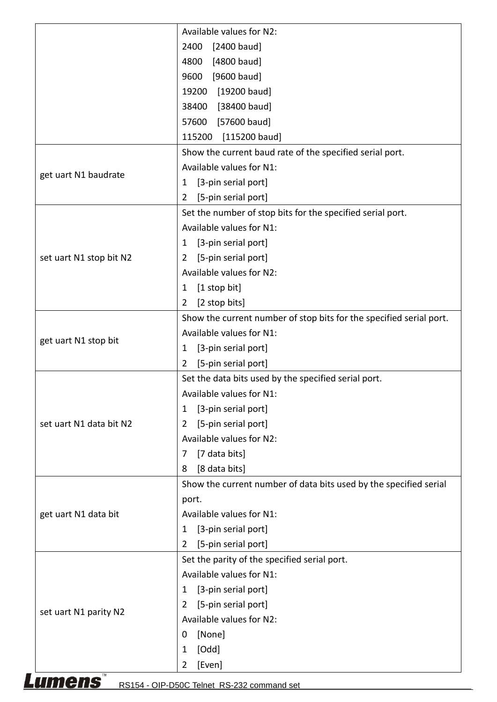|                         | Available values for N2:                                            |
|-------------------------|---------------------------------------------------------------------|
|                         | $[2400$ baud]<br>2400                                               |
|                         | [4800 baud]<br>4800                                                 |
|                         | $[9600$ baud]<br>9600                                               |
|                         | [19200 baud]<br>19200                                               |
|                         | [38400 baud]<br>38400                                               |
|                         | [57600 baud]<br>57600                                               |
|                         | 115200 [115200 baud]                                                |
|                         | Show the current baud rate of the specified serial port.            |
|                         | Available values for N1:                                            |
| get uart N1 baudrate    | [3-pin serial port]<br>1                                            |
|                         | [5-pin serial port]<br>2                                            |
|                         | Set the number of stop bits for the specified serial port.          |
|                         | Available values for N1:                                            |
|                         |                                                                     |
|                         | [3-pin serial port]<br>1                                            |
| set uart N1 stop bit N2 | [5-pin serial port]<br>2                                            |
|                         | Available values for N2:                                            |
|                         | [1 stop bit]<br>1                                                   |
|                         | [2 stop bits]<br>2                                                  |
|                         | Show the current number of stop bits for the specified serial port. |
| get uart N1 stop bit    | Available values for N1:                                            |
|                         | [3-pin serial port]<br>1                                            |
|                         | [5-pin serial port]<br>2                                            |
|                         | Set the data bits used by the specified serial port.                |
|                         | Available values for N1:                                            |
|                         | [3-pin serial port]<br>1                                            |
| set uart N1 data bit N2 | [5-pin serial port]<br>2                                            |
|                         | Available values for N2:                                            |
|                         | [7 data bits]<br>7                                                  |
|                         | [8 data bits]<br>8                                                  |
|                         | Show the current number of data bits used by the specified serial   |
|                         | port.                                                               |
| get uart N1 data bit    | Available values for N1:                                            |
|                         | [3-pin serial port]<br>1                                            |
|                         | [5-pin serial port]<br>2                                            |
|                         | Set the parity of the specified serial port.                        |
|                         | Available values for N1:                                            |
|                         |                                                                     |
|                         | [3-pin serial port]<br>1                                            |
| set uart N1 parity N2   | [5-pin serial port]<br>2                                            |
|                         |                                                                     |
|                         | Available values for N2:                                            |
|                         | [None]<br>0                                                         |
|                         | [Odd]<br>1<br>[Even]<br>2                                           |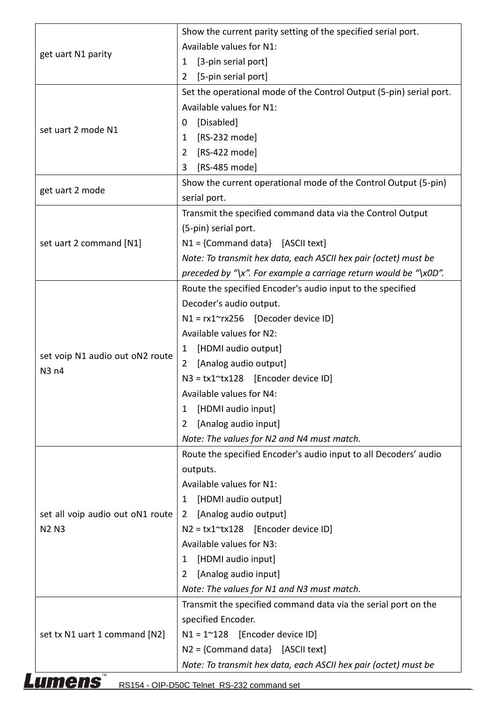|                                  | Show the current parity setting of the specified serial port.       |
|----------------------------------|---------------------------------------------------------------------|
|                                  | Available values for N1:                                            |
| get uart N1 parity               | [3-pin serial port]<br>1                                            |
|                                  | [5-pin serial port]<br>$\overline{2}$                               |
|                                  | Set the operational mode of the Control Output (5-pin) serial port. |
|                                  | Available values for N1:                                            |
|                                  | [Disabled]<br>0                                                     |
| set uart 2 mode N1               | [RS-232 mode]<br>1                                                  |
|                                  | [RS-422 mode]<br>2                                                  |
|                                  | [RS-485 mode]<br>3                                                  |
|                                  | Show the current operational mode of the Control Output (5-pin)     |
| get uart 2 mode                  | serial port.                                                        |
|                                  | Transmit the specified command data via the Control Output          |
|                                  | (5-pin) serial port.                                                |
| set uart 2 command [N1]          | $N1 =$ {Command data} [ASCII text]                                  |
|                                  | Note: To transmit hex data, each ASCII hex pair (octet) must be     |
|                                  | preceded by "\x". For example a carriage return would be "\x0D".    |
|                                  | Route the specified Encoder's audio input to the specified          |
|                                  | Decoder's audio output.                                             |
|                                  | $N1 = rx1^\circ rx256$ [Decoder device ID]                          |
|                                  | Available values for N2:                                            |
|                                  | [HDMI audio output]<br>1                                            |
| set voip N1 audio out oN2 route  | [Analog audio output]<br>2                                          |
| N3 n4                            | $N3 = tx1^xtx128$ [Encoder device ID]                               |
|                                  | Available values for N4:                                            |
|                                  | [HDMI audio input]<br>1                                             |
|                                  | [Analog audio input]<br>2                                           |
|                                  | Note: The values for N2 and N4 must match.                          |
|                                  | Route the specified Encoder's audio input to all Decoders' audio    |
|                                  | outputs.                                                            |
|                                  | Available values for N1:                                            |
|                                  | [HDMI audio output]<br>1                                            |
| set all voip audio out oN1 route | [Analog audio output]<br>$\overline{2}$                             |
| <b>N2 N3</b>                     | $N2 = tx1^xtx128$ [Encoder device ID]                               |
|                                  | Available values for N3:                                            |
|                                  | [HDMI audio input]<br>1                                             |
|                                  | [Analog audio input]<br>$\overline{2}$                              |
|                                  | Note: The values for N1 and N3 must match.                          |
|                                  | Transmit the specified command data via the serial port on the      |
|                                  | specified Encoder.                                                  |
| set tx N1 uart 1 command [N2]    | $N1 = 1^{\circ}128$ [Encoder device ID]                             |
|                                  | $N2 =$ {Command data} [ASCII text]                                  |
|                                  | Note: To transmit hex data, each ASCII hex pair (octet) must be     |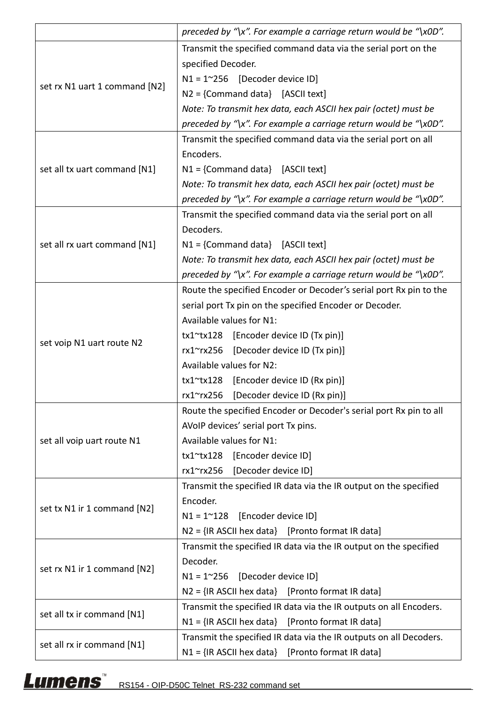|                               | preceded by "\x". For example a carriage return would be "\x0D".   |
|-------------------------------|--------------------------------------------------------------------|
|                               | Transmit the specified command data via the serial port on the     |
|                               | specified Decoder.                                                 |
|                               | $N1 = 1^{\circ}256$ [Decoder device ID]                            |
| set rx N1 uart 1 command [N2] | N2 = {Command data} [ASCII text]                                   |
|                               | Note: To transmit hex data, each ASCII hex pair (octet) must be    |
|                               | preceded by "\x". For example a carriage return would be "\x0D".   |
|                               | Transmit the specified command data via the serial port on all     |
|                               | Encoders.                                                          |
| set all tx uart command [N1]  | $N1 =$ {Command data} [ASCII text]                                 |
|                               | Note: To transmit hex data, each ASCII hex pair (octet) must be    |
|                               | preceded by "\x". For example a carriage return would be "\x0D".   |
|                               | Transmit the specified command data via the serial port on all     |
|                               | Decoders.                                                          |
| set all rx uart command [N1]  | $N1 =$ {Command data} [ASCII text]                                 |
|                               | Note: To transmit hex data, each ASCII hex pair (octet) must be    |
|                               | preceded by "\x". For example a carriage return would be "\x0D".   |
|                               | Route the specified Encoder or Decoder's serial port Rx pin to the |
|                               | serial port Tx pin on the specified Encoder or Decoder.            |
|                               | Available values for N1:                                           |
|                               | [Encoder device ID (Tx pin)]<br>tx1~tx128                          |
| set voip N1 uart route N2     | rx1~rx256 [Decoder device ID (Tx pin)]                             |
|                               | Available values for N2:                                           |
|                               | [Encoder device ID (Rx pin)]<br>tx1~tx128                          |
|                               | rx1~rx256<br>[Decoder device ID (Rx pin)]                          |
|                               | Route the specified Encoder or Decoder's serial port Rx pin to all |
|                               | AVoIP devices' serial port Tx pins.                                |
| set all voip uart route N1    | Available values for N1:                                           |
|                               | tx1~tx128 [Encoder device ID]                                      |
|                               | [Decoder device ID]<br>rx1~rx256                                   |
|                               | Transmit the specified IR data via the IR output on the specified  |
|                               | Encoder.                                                           |
| set tx N1 ir 1 command [N2]   | $N1 = 1^{\circ}128$ [Encoder device ID]                            |
|                               | $N2 = \{IR ASCII hex data\}$ [Pronto format IR data]               |
|                               | Transmit the specified IR data via the IR output on the specified  |
|                               | Decoder.                                                           |
| set rx N1 ir 1 command [N2]   | $N1 = 1^{\circ}256$ [Decoder device ID]                            |
|                               | $N2 = \{IR ASCII hex data\}$ [Pronto format IR data]               |
|                               | Transmit the specified IR data via the IR outputs on all Encoders. |
| set all tx ir command [N1]    | $N1 = \{IR ASCII hex data\}$ [Pronto format IR data]               |
|                               | Transmit the specified IR data via the IR outputs on all Decoders. |
| set all rx ir command [N1]    | $N1 = \{IR ASCII hex data\}$ [Pronto format IR data]               |

## Lumens<sup>"</sup>RS154 - OIP-D50C Telnet\_RS-232 command set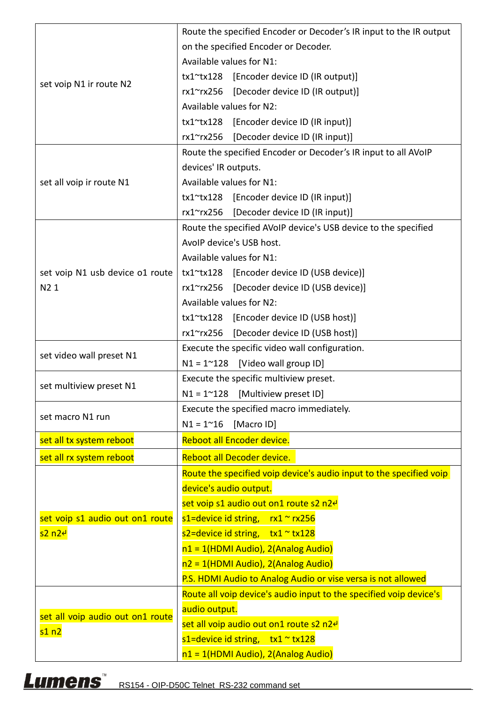|                                  | Route the specified Encoder or Decoder's IR input to the IR output  |
|----------------------------------|---------------------------------------------------------------------|
|                                  | on the specified Encoder or Decoder.                                |
|                                  | Available values for N1:                                            |
|                                  | tx1~tx128 [Encoder device ID (IR output)]                           |
| set voip N1 ir route N2          | rx1~rx256 [Decoder device ID (IR output)]                           |
|                                  | Available values for N2:                                            |
|                                  | tx1~tx128 [Encoder device ID (IR input)]                            |
|                                  | rx1~rx256 [Decoder device ID (IR input)]                            |
|                                  | Route the specified Encoder or Decoder's IR input to all AVoIP      |
|                                  | devices' IR outputs.                                                |
| set all voip ir route N1         | Available values for N1:                                            |
|                                  | tx1~tx128 [Encoder device ID (IR input)]                            |
|                                  | rx1~rx256<br>[Decoder device ID (IR input)]                         |
|                                  | Route the specified AVoIP device's USB device to the specified      |
|                                  | AvoIP device's USB host.                                            |
|                                  | Available values for N1:                                            |
| set voip N1 usb device o1 route  | tx1~tx128 [Encoder device ID (USB device)]                          |
| N2 1                             | rx1~rx256<br>[Decoder device ID (USB device)]                       |
|                                  | Available values for N2:                                            |
|                                  | tx1~tx128 [Encoder device ID (USB host)]                            |
|                                  | rx1~rx256<br>[Decoder device ID (USB host)]                         |
|                                  | Execute the specific video wall configuration.                      |
|                                  |                                                                     |
| set video wall preset N1         | $N1 = 1^{\sim}128$ [Video wall group ID]                            |
|                                  | Execute the specific multiview preset.                              |
| set multiview preset N1          | $N1 = 1^{\circ}128$ [Multiview preset ID]                           |
|                                  | Execute the specified macro immediately.                            |
| set macro N1 run                 | $N1 = 1^{\sim}16$<br>[Macro ID]                                     |
| set all tx system reboot         | Reboot all Encoder device.                                          |
| set all rx system reboot         | Reboot all Decoder device.                                          |
|                                  | Route the specified voip device's audio input to the specified voip |
|                                  | device's audio output.                                              |
|                                  | set voip s1 audio out on1 route s2 n2e                              |
| set voip s1 audio out on1 route  | s1=device id string, $rx1 \approx rx256$                            |
| <mark>s2 n2⊬</mark>              | s2=device id string, $tx1 \approx tx128$                            |
|                                  | $n1 = 1$ (HDMI Audio), 2(Analog Audio)                              |
|                                  | $n2 = 1$ (HDMI Audio), 2(Analog Audio)                              |
|                                  | P.S. HDMI Audio to Analog Audio or vise versa is not allowed        |
|                                  | Route all voip device's audio input to the specified voip device's  |
|                                  | audio output.                                                       |
| set all voip audio out on1 route | set all voip audio out on1 route s2 n2e                             |
| s1n2                             | s1=device id string, $tx1 \approx tx128$                            |

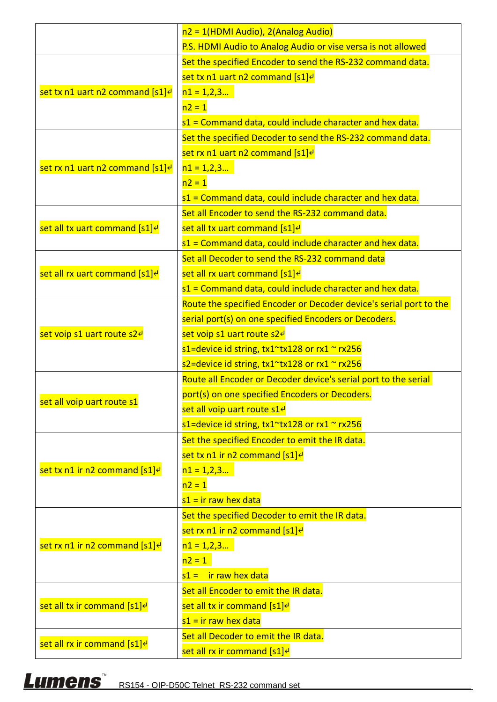|                                             | $n2 = 1$ (HDMI Audio), 2(Analog Audio)                             |
|---------------------------------------------|--------------------------------------------------------------------|
|                                             | P.S. HDMI Audio to Analog Audio or vise versa is not allowed       |
|                                             | Set the specified Encoder to send the RS-232 command data.         |
|                                             | set tx n1 uart n2 command [s1] <sup>e</sup>                        |
| set tx n1 uart n2 command [s1] <sup>e</sup> | $n1 = 1,2,3$                                                       |
|                                             | $n2 = 1$                                                           |
|                                             | s1 = Command data, could include character and hex data.           |
|                                             | Set the specified Decoder to send the RS-232 command data.         |
|                                             | set rx n1 uart n2 command [s1] <sup>e</sup>                        |
| set rx n1 uart n2 command [s1] <sup>e</sup> | $n1 = 1,2,3$                                                       |
|                                             | $n2 = 1$                                                           |
|                                             | s1 = Command data, could include character and hex data.           |
|                                             | Set all Encoder to send the RS-232 command data.                   |
| set all tx uart command [s1] <sup>e</sup>   | set all tx uart command [s1] <sup>e</sup>                          |
|                                             | s1 = Command data, could include character and hex data.           |
|                                             | Set all Decoder to send the RS-232 command data                    |
| set all rx uart command [s1] <sup>e</sup>   | set all rx uart command [s1] <sup>e</sup>                          |
|                                             | s1 = Command data, could include character and hex data.           |
|                                             | Route the specified Encoder or Decoder device's serial port to the |
|                                             | serial port(s) on one specified Encoders or Decoders.              |
| set voip s1 uart route s2 <sup>e</sup>      | set voip s1 uart route s2e                                         |
|                                             | s1=device id string, tx1~tx128 or rx1 ~ rx256                      |
|                                             | s2=device id string, tx1~tx128 or rx1 ~ rx256                      |
|                                             | Route all Encoder or Decoder device's serial port to the serial    |
|                                             | port(s) on one specified Encoders or Decoders.                     |
| set all voip uart route s1                  | set all voip uart route s1 <sup>e</sup>                            |
|                                             | s1=device id string, tx1~tx128 or rx1 ~ rx256                      |
|                                             | Set the specified Encoder to emit the IR data.                     |
|                                             | set tx n1 ir n2 command [s1] <sup>e</sup>                          |
| set tx n1 ir n2 command [s1] <sup>e</sup>   | $n1 = 1,2,3$                                                       |
|                                             | $n2 = 1$                                                           |
|                                             | $s1 = ir raw$ hex data                                             |
|                                             | Set the specified Decoder to emit the IR data.                     |
|                                             | set rx n1 ir n2 command $[s1]$ <sup>e</sup>                        |
| set rx n1 ir n2 command [s1] <sup>e</sup>   | $n1 = 1,2,3$                                                       |
|                                             | $n2 = 1$                                                           |
|                                             | $s1 =$ ir raw hex data                                             |
|                                             | Set all Encoder to emit the IR data.                               |
| set all tx ir command [s1] <sup>e</sup>     | set all tx ir command [s1] <sup>e</sup>                            |
|                                             | $s1 = ir raw$ hex data                                             |
|                                             | Set all Decoder to emit the IR data.                               |
| set all rx ir command [s1] <sup>e</sup>     | set all rx ir command [s1] <sup>e</sup>                            |

## Lumens<sup>"</sup> RS154 - OIP-D50C Telnet\_RS-232 command set